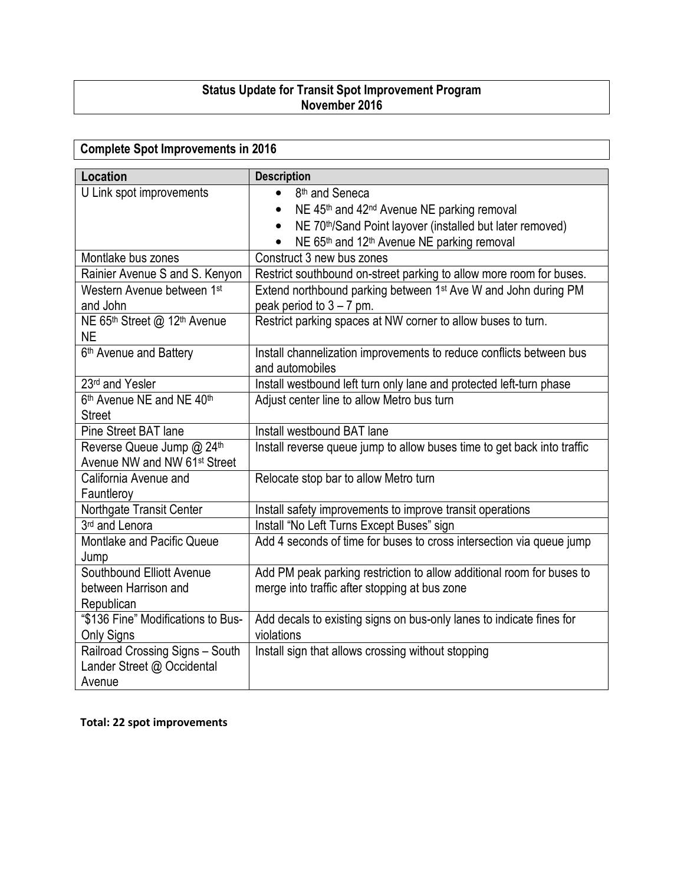## Status Update for Transit Spot Improvement Program November 2016

## Complete Spot Improvements in 2016 Location **Description** U Link spot improvements 8<sup>th</sup> and Seneca • NE  $45<sup>th</sup>$  and  $42<sup>nd</sup>$  Avenue NE parking removal • NE 70<sup>th</sup>/Sand Point layover (installed but later removed) • NE  $65<sup>th</sup>$  and 12<sup>th</sup> Avenue NE parking removal Montlake bus zones **Construct 3 new bus zones** Rainier Avenue S and S. Kenyon  $\vert$  Restrict southbound on-street parking to allow more room for buses. Western Avenue between 1st and John Extend northbound parking between 1st Ave W and John during PM peak period to  $3 - 7$  pm. NE 65th Street @ 12th Avenue NE Restrict parking spaces at NW corner to allow buses to turn. 6th Avenue and Battery Install channelization improvements to reduce conflicts between bus and automobiles 23<sup>rd</sup> and Yesler Install westbound left turn only lane and protected left-turn phase 6<sup>th</sup> Avenue NE and NE 40<sup>th</sup> **Street** Adjust center line to allow Metro bus turn Pine Street BAT lane Install westbound BAT lane Reverse Queue Jump @ 24th Avenue NW and NW 61st Street Install reverse queue jump to allow buses time to get back into traffic California Avenue and **Fauntlerov** Relocate stop bar to allow Metro turn Northgate Transit Center | Install safety improvements to improve transit operations 3rd and Lenora Install "No Left Turns Except Buses" sign Montlake and Pacific Queue Jump Add 4 seconds of time for buses to cross intersection via queue jump Southbound Elliott Avenue between Harrison and Republican Add PM peak parking restriction to allow additional room for buses to merge into traffic after stopping at bus zone "\$136 Fine" Modifications to Bus-Only Signs Add decals to existing signs on bus-only lanes to indicate fines for violations Railroad Crossing Signs – South Lander Street @ Occidental Avenue Install sign that allows crossing without stopping

Total: 22 spot improvements